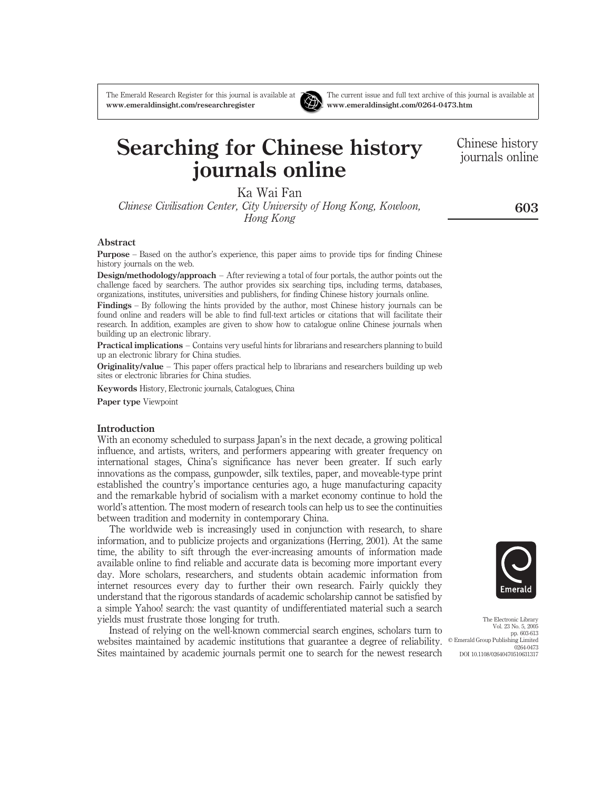www.emeraldinsight.com/researchregister www.emeraldinsight.com/0264-0473.htm



Ka Wai Fan

Chinese Civilisation Center, City University of Hong Kong, Kowloon, Hong Kong

#### Abstract

Purpose – Based on the author's experience, this paper aims to provide tips for finding Chinese history journals on the web.

Design/methodology/approach – After reviewing a total of four portals, the author points out the challenge faced by searchers. The author provides six searching tips, including terms, databases, organizations, institutes, universities and publishers, for finding Chinese history journals online.

Findings – By following the hints provided by the author, most Chinese history journals can be found online and readers will be able to find full-text articles or citations that will facilitate their research. In addition, examples are given to show how to catalogue online Chinese journals when building up an electronic library.

Practical implications – Contains very useful hints for librarians and researchers planning to build up an electronic library for China studies.

Originality/value – This paper offers practical help to librarians and researchers building up web sites or electronic libraries for China studies.

Keywords History, Electronic journals, Catalogues, China

Paper type Viewpoint

#### Introduction

With an economy scheduled to surpass Japan's in the next decade, a growing political influence, and artists, writers, and performers appearing with greater frequency on international stages, China's significance has never been greater. If such early innovations as the compass, gunpowder, silk textiles, paper, and moveable-type print established the country's importance centuries ago, a huge manufacturing capacity and the remarkable hybrid of socialism with a market economy continue to hold the world's attention. The most modern of research tools can help us to see the continuities between tradition and modernity in contemporary China.

The worldwide web is increasingly used in conjunction with research, to share information, and to publicize projects and organizations (Herring, 2001). At the same time, the ability to sift through the ever-increasing amounts of information made available online to find reliable and accurate data is becoming more important every day. More scholars, researchers, and students obtain academic information from internet resources every day to further their own research. Fairly quickly they understand that the rigorous standards of academic scholarship cannot be satisfied by a simple Yahoo! search: the vast quantity of undifferentiated material such a search yields must frustrate those longing for truth.

Instead of relying on the well-known commercial search engines, scholars turn to websites maintained by academic institutions that guarantee a degree of reliability.  $\circ$  Emerald Group Publishing Limited Sites maintained by academic journals permit one to search for the newest research

The Electronic Library Vol. 23 No. 5, 2005

pp. 603-613 0264-0473 DOI 10.1108/02640470510631317

603

Chinese history journals online



The Emerald Research Register for this journal is available at The current issue and full text archive of this journal is available at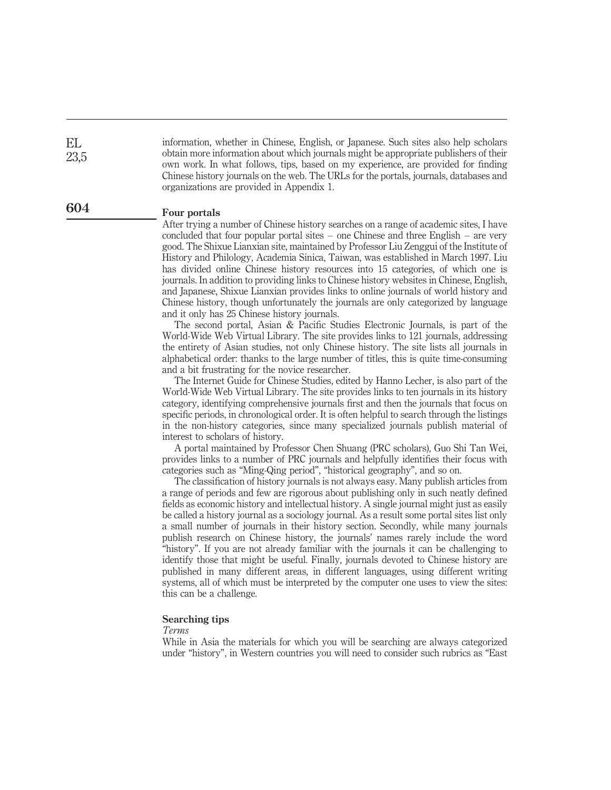information, whether in Chinese, English, or Japanese. Such sites also help scholars obtain more information about which journals might be appropriate publishers of their own work. In what follows, tips, based on my experience, are provided for finding Chinese history journals on the web. The URLs for the portals, journals, databases and organizations are provided in Appendix 1.

604

EL 23,5

#### Four portals

After trying a number of Chinese history searches on a range of academic sites, I have concluded that four popular portal sites – one Chinese and three English – are very good. The Shixue Lianxian site, maintained by Professor Liu Zenggui of the Institute of History and Philology, Academia Sinica, Taiwan, was established in March 1997. Liu has divided online Chinese history resources into 15 categories, of which one is journals. In addition to providing links to Chinese history websites in Chinese, English, and Japanese, Shixue Lianxian provides links to online journals of world history and Chinese history, though unfortunately the journals are only categorized by language and it only has 25 Chinese history journals.

The second portal, Asian & Pacific Studies Electronic Journals, is part of the World-Wide Web Virtual Library. The site provides links to 121 journals, addressing the entirety of Asian studies, not only Chinese history. The site lists all journals in alphabetical order: thanks to the large number of titles, this is quite time-consuming and a bit frustrating for the novice researcher.

The Internet Guide for Chinese Studies, edited by Hanno Lecher, is also part of the World-Wide Web Virtual Library. The site provides links to ten journals in its history category, identifying comprehensive journals first and then the journals that focus on specific periods, in chronological order. It is often helpful to search through the listings in the non-history categories, since many specialized journals publish material of interest to scholars of history.

A portal maintained by Professor Chen Shuang (PRC scholars), Guo Shi Tan Wei, provides links to a number of PRC journals and helpfully identifies their focus with categories such as "Ming-Qing period", "historical geography", and so on.

The classification of history journals is not always easy. Many publish articles from a range of periods and few are rigorous about publishing only in such neatly defined fields as economic history and intellectual history. A single journal might just as easily be called a history journal as a sociology journal. As a result some portal sites list only a small number of journals in their history section. Secondly, while many journals publish research on Chinese history, the journals' names rarely include the word "history". If you are not already familiar with the journals it can be challenging to identify those that might be useful. Finally, journals devoted to Chinese history are published in many different areas, in different languages, using different writing systems, all of which must be interpreted by the computer one uses to view the sites: this can be a challenge.

# Searching tips

Terms

While in Asia the materials for which you will be searching are always categorized under "history", in Western countries you will need to consider such rubrics as "East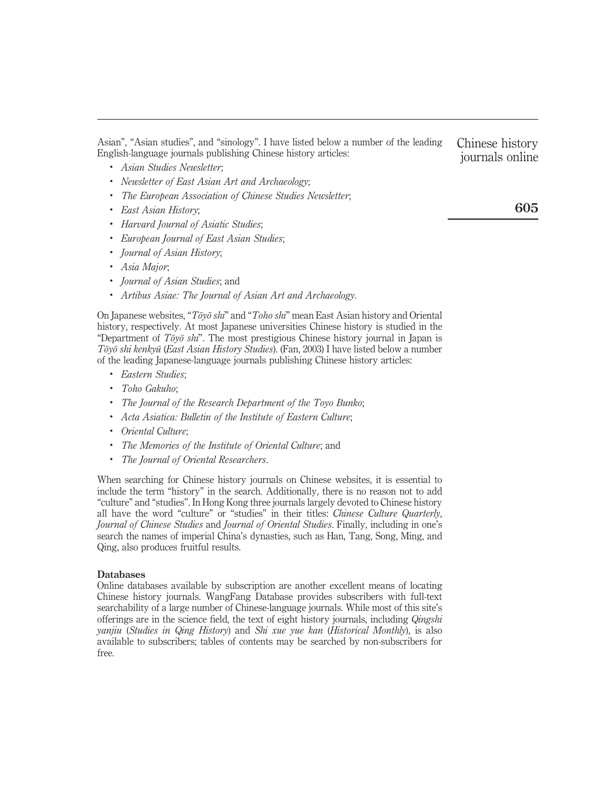Asian", "Asian studies", and "sinology". I have listed below a number of the leading English-language journals publishing Chinese history articles:

- . Asian Studies Newsletter;
- . Newsletter of East Asian Art and Archaeology;
- . The European Association of Chinese Studies Newsletter;
- . East Asian History;
- . Harvard Journal of Asiatic Studies;
- . European Journal of East Asian Studies;
- . Journal of Asian History;
- . Asia Major;
- . Journal of Asian Studies; and
- . Artibus Asiae: The Journal of Asian Art and Archaeology.

On Japanese websites, " $T\bar{o}y\bar{o} y\bar{h}$ " and "Toho shi" mean East Asian history and Oriental history, respectively. At most Japanese universities Chinese history is studied in the "Department of  $T\bar{o}y\bar{o} shr$ ". The most prestigious Chinese history journal in Japan is Tōyō shi kenkyū (East Asian History Studies). (Fan, 2003) I have listed below a number of the leading Japanese-language journals publishing Chinese history articles:

- . Eastern Studies;
- . Toho Gakuho;
- . The Journal of the Research Department of the Toyo Bunko;
- . Acta Asiatica: Bulletin of the Institute of Eastern Culture;
- . Oriental Culture;
- . The Memories of the Institute of Oriental Culture; and
- . The Journal of Oriental Researchers.

When searching for Chinese history journals on Chinese websites, it is essential to include the term "history" in the search. Additionally, there is no reason not to add "culture" and "studies". In Hong Kong three journals largely devoted to Chinese history all have the word "culture" or "studies" in their titles: Chinese Culture Quarterly, Journal of Chinese Studies and Journal of Oriental Studies. Finally, including in one's search the names of imperial China's dynasties, such as Han, Tang, Song, Ming, and Qing, also produces fruitful results.

#### Databases

Online databases available by subscription are another excellent means of locating Chinese history journals. WangFang Database provides subscribers with full-text searchability of a large number of Chinese-language journals. While most of this site's offerings are in the science field, the text of eight history journals, including Qingshi yanjiu (Studies in Qing History) and Shi xue yue kan (Historical Monthly), is also available to subscribers; tables of contents may be searched by non-subscribers for free.

Chinese history journals online

605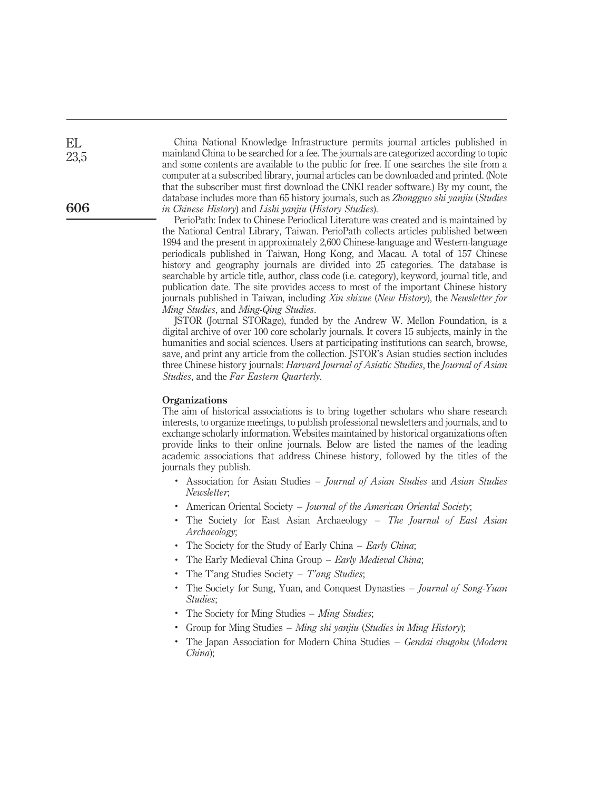China National Knowledge Infrastructure permits journal articles published in mainland China to be searched for a fee. The journals are categorized according to topic and some contents are available to the public for free. If one searches the site from a computer at a subscribed library, journal articles can be downloaded and printed. (Note that the subscriber must first download the CNKI reader software.) By my count, the database includes more than 65 history journals, such as Zhongguo shi yanjiu (Studies in Chinese History) and Lishi yanjiu (History Studies).

PerioPath: Index to Chinese Periodical Literature was created and is maintained by the National Central Library, Taiwan. PerioPath collects articles published between 1994 and the present in approximately 2,600 Chinese-language and Western-language periodicals published in Taiwan, Hong Kong, and Macau. A total of 157 Chinese history and geography journals are divided into 25 categories. The database is searchable by article title, author, class code (i.e. category), keyword, journal title, and publication date. The site provides access to most of the important Chinese history journals published in Taiwan, including Xin shixue (New History), the Newsletter for Ming Studies, and Ming-Qing Studies.

JSTOR (Journal STORage), funded by the Andrew W. Mellon Foundation, is a digital archive of over 100 core scholarly journals. It covers 15 subjects, mainly in the humanities and social sciences. Users at participating institutions can search, browse, save, and print any article from the collection. JSTOR's Asian studies section includes three Chinese history journals: *Harvard Journal of Asiatic Studies*, the *Journal of Asian* Studies, and the Far Eastern Quarterly.

#### **Organizations**

The aim of historical associations is to bring together scholars who share research interests, to organize meetings, to publish professional newsletters and journals, and to exchange scholarly information. Websites maintained by historical organizations often provide links to their online journals. Below are listed the names of the leading academic associations that address Chinese history, followed by the titles of the journals they publish.

- . Association for Asian Studies Journal of Asian Studies and Asian Studies Newsletter;
- American Oriental Society Journal of the American Oriental Society;
- The Society for East Asian Archaeology The Journal of East Asian Archaeology;
- . The Society for the Study of Early China Early China;
- . The Early Medieval China Group Early Medieval China;
- The T'ang Studies Society T'ang Studies;
- . The Society for Sung, Yuan, and Conquest Dynasties Journal of Song-Yuan Studies;
- The Society for Ming Studies Ming Studies;
- . Group for Ming Studies Ming shi yanjiu (Studies in Ming History);
- . The Japan Association for Modern China Studies Gendai chugoku (Modern China);

606

EL 23,5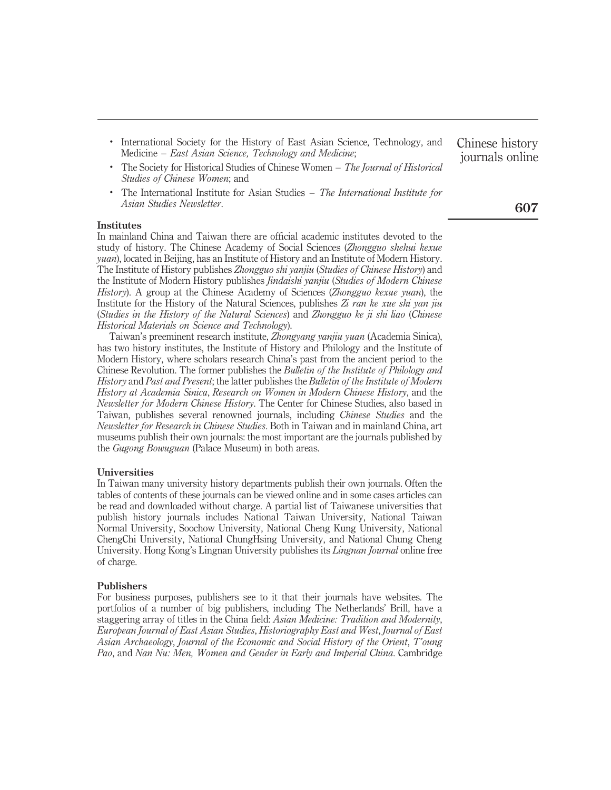- . International Society for the History of East Asian Science, Technology, and Medicine – East Asian Science, Technology and Medicine;
- . The Society for Historical Studies of Chinese Women The Journal of Historical Studies of Chinese Women; and
- . The International Institute for Asian Studies The International Institute for Asian Studies Newsletter.

#### Institutes

In mainland China and Taiwan there are official academic institutes devoted to the study of history. The Chinese Academy of Social Sciences (Zhongguo shehui kexue yuan), located in Beijing, has an Institute of History and an Institute of Modern History. The Institute of History publishes Zhongguo shi yanjiu (Studies of Chinese History) and the Institute of Modern History publishes *Jindaishi yanjiu* (Studies of Modern Chinese History). A group at the Chinese Academy of Sciences (*Zhongguo kexue yuan*), the Institute for the History of the Natural Sciences, publishes  $Zi$  ran ke xue shi yan jiu (Studies in the History of the Natural Sciences) and Zhongguo ke ji shi liao (Chinese Historical Materials on Science and Technology).

Taiwan's preeminent research institute, Zhongyang yanjiu yuan (Academia Sinica), has two history institutes, the Institute of History and Philology and the Institute of Modern History, where scholars research China's past from the ancient period to the Chinese Revolution. The former publishes the *Bulletin of the Institute of Philology and* History and Past and Present; the latter publishes the Bulletin of the Institute of Modern History at Academia Sinica, Research on Women in Modern Chinese History, and the Newsletter for Modern Chinese History. The Center for Chinese Studies, also based in Taiwan, publishes several renowned journals, including Chinese Studies and the Newsletter for Research in Chinese Studies. Both in Taiwan and in mainland China, art museums publish their own journals: the most important are the journals published by the Gugong Bowuguan (Palace Museum) in both areas.

### Universities

In Taiwan many university history departments publish their own journals. Often the tables of contents of these journals can be viewed online and in some cases articles can be read and downloaded without charge. A partial list of Taiwanese universities that publish history journals includes National Taiwan University, National Taiwan Normal University, Soochow University, National Cheng Kung University, National ChengChi University, National ChungHsing University, and National Chung Cheng University. Hong Kong's Lingnan University publishes its *Lingnan Journal* online free of charge.

#### Publishers

For business purposes, publishers see to it that their journals have websites. The portfolios of a number of big publishers, including The Netherlands' Brill, have a staggering array of titles in the China field: Asian Medicine: Tradition and Modernity, European Journal of East Asian Studies, Historiography East and West, Journal of East Asian Archaeology, Journal of the Economic and Social History of the Orient, T'oung Pao, and Nan Nu: Men, Women and Gender in Early and Imperial China. Cambridge Chinese history journals online

# 607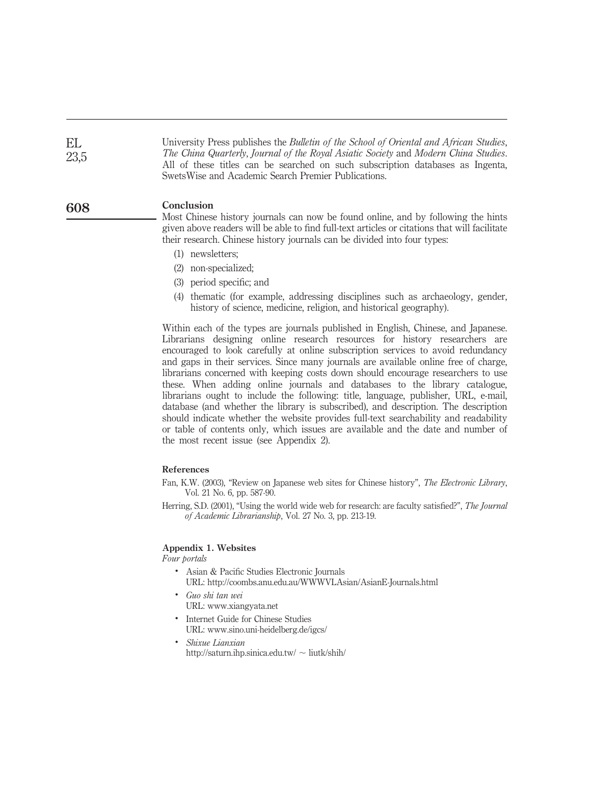EL 23,5

University Press publishes the Bulletin of the School of Oriental and African Studies, The China Quarterly, Journal of the Royal Asiatic Society and Modern China Studies. All of these titles can be searched on such subscription databases as Ingenta, SwetsWise and Academic Search Premier Publications.

#### Conclusion 608

Most Chinese history journals can now be found online, and by following the hints given above readers will be able to find full-text articles or citations that will facilitate their research. Chinese history journals can be divided into four types:

- (1) newsletters;
- (2) non-specialized;
- (3) period specific; and
- (4) thematic (for example, addressing disciplines such as archaeology, gender, history of science, medicine, religion, and historical geography).

Within each of the types are journals published in English, Chinese, and Japanese. Librarians designing online research resources for history researchers are encouraged to look carefully at online subscription services to avoid redundancy and gaps in their services. Since many journals are available online free of charge, librarians concerned with keeping costs down should encourage researchers to use these. When adding online journals and databases to the library catalogue, librarians ought to include the following: title, language, publisher, URL, e-mail, database (and whether the library is subscribed), and description. The description should indicate whether the website provides full-text searchability and readability or table of contents only, which issues are available and the date and number of the most recent issue (see Appendix 2).

### References

- Fan, K.W. (2003), "Review on Japanese web sites for Chinese history", The Electronic Library, Vol. 21 No. 6, pp. 587-90.
- Herring, S.D. (2001), "Using the world wide web for research: are faculty satisfied?", The Journal of Academic Librarianship, Vol. 27 No. 3, pp. 213-19.

## Appendix 1. Websites

Four portals

- . Asian & Pacific Studies Electronic Journals URL: http://coombs.anu.edu.au/WWWVLAsian/AsianE-Journals.html
- . Guo shi tan wei URL: www.xiangyata.net
- . Internet Guide for Chinese Studies URL: www.sino.uni-heidelberg.de/igcs/
- . Shixue Lianxian http://saturn.ihp.sinica.edu.tw/ $\sim$ liutk/shih/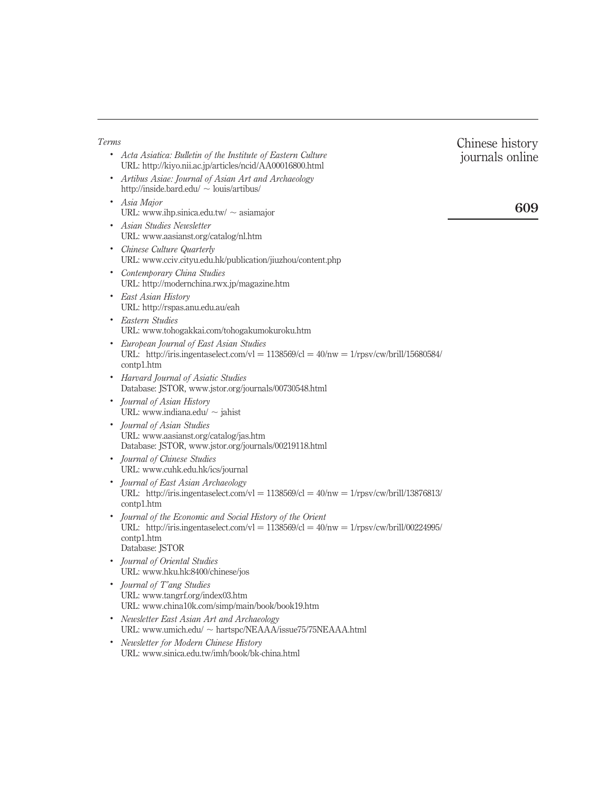| Terms                                                                                                                                                                                        | Chinese history |
|----------------------------------------------------------------------------------------------------------------------------------------------------------------------------------------------|-----------------|
| • Acta Asiatica: Bulletin of the Institute of Eastern Culture<br>URL: http://kiyo.nii.ac.jp/articles/ncid/AA00016800.html                                                                    | journals online |
| • Artibus Asiae: Journal of Asian Art and Archaeology<br>http://inside.bard.edu/ $\sim$ louis/artibus/                                                                                       |                 |
| • Asia Major<br>URL: www.ihp.sinica.edu.tw/ $\sim$ asiamajor                                                                                                                                 | 609             |
| • Asian Studies Newsletter<br>URL: www.aasianst.org/catalog/nl.htm                                                                                                                           |                 |
| • Chinese Culture Quarterly<br>URL: www.cciv.cityu.edu.hk/publication/jiuzhou/content.php                                                                                                    |                 |
| • Contemporary China Studies<br>URL: http://modernchina.rwx.jp/magazine.htm                                                                                                                  |                 |
| • East Asian History<br>URL: http://rspas.anu.edu.au/eah                                                                                                                                     |                 |
| Eastern Studies<br>URL: www.tohogakkai.com/tohogakumokuroku.htm                                                                                                                              |                 |
| European Journal of East Asian Studies<br>URL: http://iris.ingentaselect.com/vl = $1138569$ /cl = $40$ /nw = $1$ /rpsv/cw/brill/15680584/<br>contp1.htm                                      |                 |
| • Harvard Journal of Asiatic Studies<br>Database: JSTOR, www.jstor.org/journals/00730548.html                                                                                                |                 |
| • Journal of Asian History<br>URL: www.indiana.edu/ $\sim$ jahist                                                                                                                            |                 |
| • Journal of Asian Studies<br>URL: www.aasianst.org/catalog/jas.htm<br>Database: JSTOR, www.jstor.org/journals/00219118.html                                                                 |                 |
| • Journal of Chinese Studies<br>URL: www.cuhk.edu.hk/ics/journal                                                                                                                             |                 |
| • Journal of East Asian Archaeology<br>URL: http://iris.ingentaselect.com/vl = $1138569$ /cl = $40$ /nw = $1$ /rpsv/cw/brill/13876813/<br>contp1.htm                                         |                 |
| Journal of the Economic and Social History of the Orient<br>URL: http://iris.ingentaselect.com/vl = $1138569$ /cl = $40$ /nw = $1$ /rpsv/cw/brill/00224995/<br>contpl.htm<br>Database: JSTOR |                 |
| • Journal of Oriental Studies<br>URL: www.hku.hk:8400/chinese/jos                                                                                                                            |                 |
| • Journal of T'ang Studies<br>URL: www.tangrf.org/index03.htm<br>URL: www.china10k.com/simp/main/book/book19.htm                                                                             |                 |
| • Newsletter East Asian Art and Archaeology<br>URL: www.umich.edu/ ~ hartspc/NEAAA/issue75/75NEAAA.html                                                                                      |                 |
| • Newsletter for Modern Chinese History                                                                                                                                                      |                 |

URL: www.sinica.edu.tw/imh/book/bk-china.html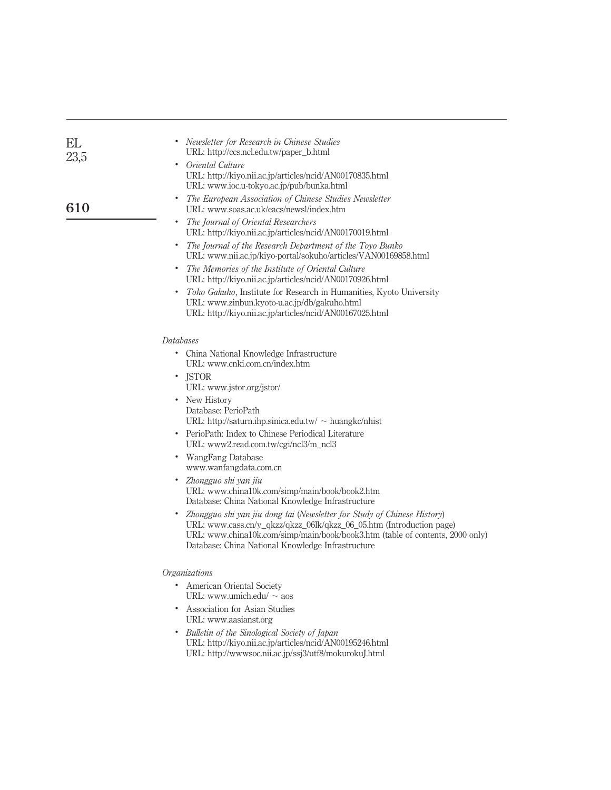| EL<br>23,5 | Newsletter for Research in Chinese Studies<br>URL: http://ccs.ncl.edu.tw/paper_b.html                                                                                                                                                                                                 |
|------------|---------------------------------------------------------------------------------------------------------------------------------------------------------------------------------------------------------------------------------------------------------------------------------------|
|            | Oriental Culture<br>URL: http://kiyo.nii.ac.jp/articles/ncid/AN00170835.html<br>URL: www.ioc.u-tokyo.ac.jp/pub/bunka.html                                                                                                                                                             |
| 610        | The European Association of Chinese Studies Newsletter<br>URL: www.soas.ac.uk/eacs/newsl/index.htm                                                                                                                                                                                    |
|            | The Journal of Oriental Researchers<br>URL: http://kiyo.nii.ac.jp/articles/ncid/AN00170019.html                                                                                                                                                                                       |
|            | The Journal of the Research Department of the Toyo Bunko<br>URL: www.nii.ac.jp/kiyo-portal/sokuho/articles/VAN00169858.html                                                                                                                                                           |
|            | The Memories of the Institute of Oriental Culture<br>URL: http://kiyo.nii.ac.jp/articles/ncid/AN00170926.html                                                                                                                                                                         |
|            | Toho Gakuho, Institute for Research in Humanities, Kyoto University<br>URL: www.zinbun.kyoto-u.ac.jp/db/gakuho.html<br>URL: http://kiyo.nii.ac.jp/articles/ncid/AN00167025.html                                                                                                       |
|            | <i>Databases</i>                                                                                                                                                                                                                                                                      |
|            | $\bullet$<br>China National Knowledge Infrastructure<br>URL: www.cnki.com.cn/index.htm                                                                                                                                                                                                |
|            | <b>JSTOR</b><br>$\bullet$<br>URL: www.jstor.org/jstor/                                                                                                                                                                                                                                |
|            | • New History<br>Database: PerioPath<br>URL: http://saturn.ihp.sinica.edu.tw/ $\sim$ huangkc/nhist                                                                                                                                                                                    |
|            | PerioPath: Index to Chinese Periodical Literature<br>URL: www2.read.com.tw/cgi/ncl3/m_ncl3                                                                                                                                                                                            |
|            | • WangFang Database<br>www.wanfangdata.com.cn                                                                                                                                                                                                                                         |
|            | • Zhongguo shi yan jiu<br>URL: www.china10k.com/simp/main/book/book2.htm<br>Database: China National Knowledge Infrastructure                                                                                                                                                         |
|            | Zhongguo shi yan jiu dong tai (Newsletter for Study of Chinese History)<br>URL: www.cass.cn/y_qkzz/qkzz_06lk/qkzz_06_05.htm (Introduction page)<br>URL: www.china10k.com/simp/main/book/book3.htm (table of contents, 2000 only)<br>Database: China National Knowledge Infrastructure |
|            | Organizations                                                                                                                                                                                                                                                                         |
|            | $\bullet$<br>American Oriental Society<br>URL: www.umich.edu/ $\sim$ aos                                                                                                                                                                                                              |
|            | Association for Asian Studies<br>URL: www.aasianst.org                                                                                                                                                                                                                                |
|            | • Bulletin of the Sinological Society of Japan                                                                                                                                                                                                                                        |

URL: http://kiyo.nii.ac.jp/articles/ncid/AN00195246.html URL: http://wwwsoc.nii.ac.jp/ssj3/utf8/mokurokuJ.html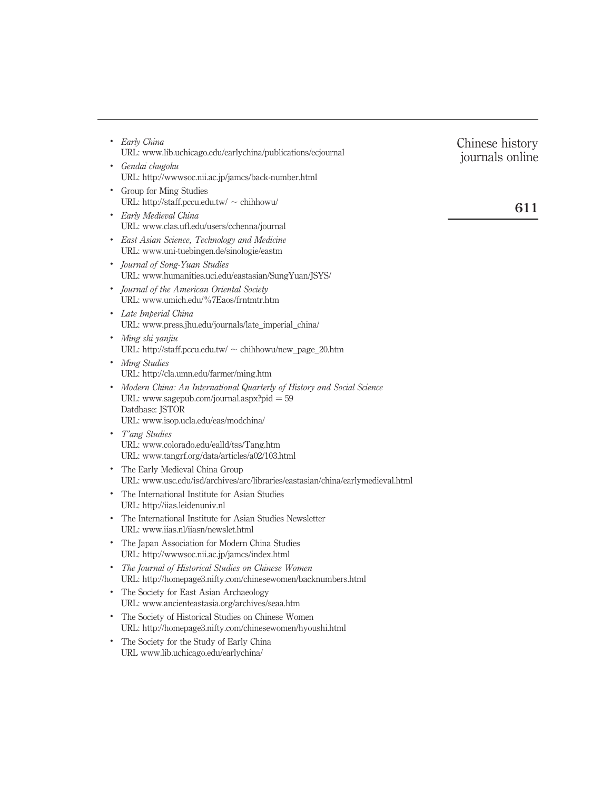| Early China<br>٠<br>URL: www.lib.uchicago.edu/earlychina/publications/ecjournal                                                                        | Chinese history<br>journals online |
|--------------------------------------------------------------------------------------------------------------------------------------------------------|------------------------------------|
| Gendai chugoku<br>٠<br>URL: http://wwwsoc.nii.ac.jp/jamcs/back-number.html                                                                             |                                    |
| Group for Ming Studies<br>$\bullet$<br>URL: http://staff.pccu.edu.tw/ $\sim$ chihhowu/                                                                 | 611                                |
| Early Medieval China<br>$\bullet$<br>URL: www.clas.ufl.edu/users/cchenna/journal                                                                       |                                    |
| East Asian Science, Technology and Medicine<br>URL: www.uni-tuebingen.de/sinologie/eastm                                                               |                                    |
| Journal of Song-Yuan Studies<br>URL: www.humanities.uci.edu/eastasian/SungYuan/JSYS/                                                                   |                                    |
| Journal of the American Oriental Society<br>URL: www.umich.edu/%7Eaos/frntmtr.htm                                                                      |                                    |
| Late Imperial China<br>$\bullet$<br>URL: www.press.jhu.edu/journals/late_imperial_china/                                                               |                                    |
| Ming shi yanjiu<br>$\bullet$<br>URL: http://staff.pccu.edu.tw/ $\sim$ chihhowu/new_page_20.htm                                                         |                                    |
| Ming Studies<br>$\bullet$<br>URL: http://cla.umn.edu/farmer/ming.htm                                                                                   |                                    |
| Modern China: An International Quarterly of History and Social Science<br>$\bullet$<br>URL: www.sagepub.com/journal.aspx?pid $= 59$<br>Datdbase: JSTOR |                                    |
| URL: www.isop.ucla.edu/eas/modchina/                                                                                                                   |                                    |
| T'ang Studies<br>$\bullet$<br>URL: www.colorado.edu/ealld/tss/Tang.htm<br>URL: www.tangrf.org/data/articles/a02/103.html                               |                                    |
| The Early Medieval China Group<br>URL: www.usc.edu/isd/archives/arc/libraries/eastasian/china/earlymedieval.html                                       |                                    |
| The International Institute for Asian Studies<br>URL: http://iias.leidenuniv.nl                                                                        |                                    |
| The International Institute for Asian Studies Newsletter<br>URL: www.iias.nl/iiasn/newslet.html                                                        |                                    |
| The Japan Association for Modern China Studies<br>٠<br>URL: http://wwwsoc.nii.ac.jp/jamcs/index.html                                                   |                                    |
| The Journal of Historical Studies on Chinese Women<br>URL: http://homepage3.nifty.com/chinesewomen/backnumbers.html                                    |                                    |
| The Society for East Asian Archaeology<br>٠<br>URL: www.ancienteastasia.org/archives/seaa.htm                                                          |                                    |
| The Society of Historical Studies on Chinese Women<br>$\bullet$<br>URL: http://homepage3.nifty.com/chinesewomen/hyoushi.html                           |                                    |
| The Society for the Study of Early China<br>$\bullet$<br>URL www.lib.uchicago.edu/earlychina/                                                          |                                    |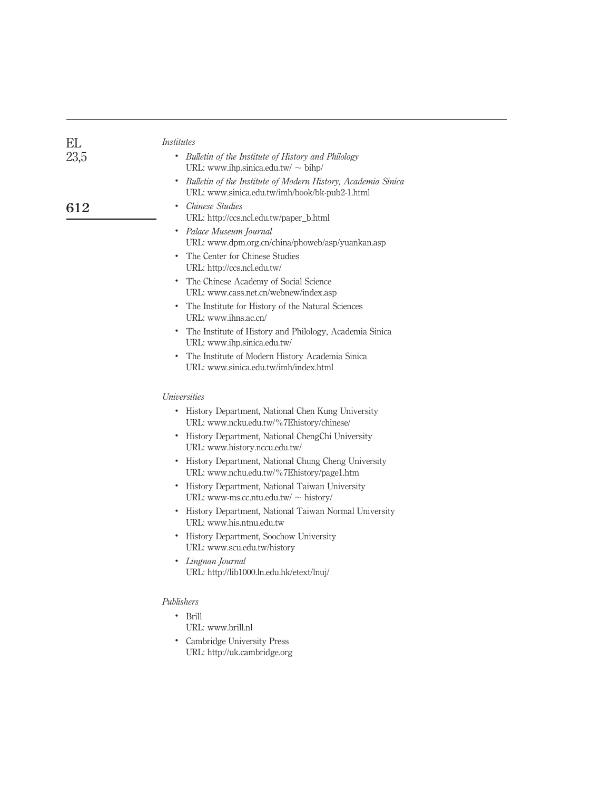| EL   | <i>Institutes</i>                                                                                                |
|------|------------------------------------------------------------------------------------------------------------------|
| 23,5 | Bulletin of the Institute of History and Philology<br>URL: www.ihp.sinica.edu.tw/ $\sim$ bihp/                   |
|      | • Bulletin of the Institute of Modern History, Academia Sinica<br>URL: www.sinica.edu.tw/imh/book/bk-pub2-1.html |
| 612  | Chinese Studies<br>URL: http://ccs.ncl.edu.tw/paper_b.html                                                       |
|      | Palace Museum Journal<br>٠<br>URL: www.dpm.org.cn/china/phoweb/asp/yuankan.asp                                   |
|      | • The Center for Chinese Studies<br>URL: http://ccs.ncl.edu.tw/                                                  |
|      | • The Chinese Academy of Social Science<br>URL: www.cass.net.cn/webnew/index.asp                                 |
|      | • The Institute for History of the Natural Sciences<br>URL: www.ihns.ac.cn/                                      |
|      | • The Institute of History and Philology, Academia Sinica<br>URL: www.ihp.sinica.edu.tw/                         |
|      | • The Institute of Modern History Academia Sinica<br>URL: www.sinica.edu.tw/imh/index.html                       |
|      | <i>Universities</i>                                                                                              |
|      | History Department, National Chen Kung University<br>URL: www.ncku.edu.tw/%7Ehistory/chinese/                    |
|      | • History Department, National ChengChi University<br>URL: www.history.nccu.edu.tw/                              |
|      | • History Department, National Chung Cheng University<br>URL: www.nchu.edu.tw/%7Ehistory/page1.htm               |
|      | • History Department, National Taiwan University<br>URL: www-ms.cc.ntu.edu.tw/ $\sim$ history/                   |
|      | • History Department, National Taiwan Normal University<br>URL: www.his.ntnu.edu.tw                              |
|      | • History Department, Soochow University<br>URL: www.scu.edu.tw/history                                          |
|      | Lingnan Journal<br>URL: http://lib1000.ln.edu.hk/etext/lnuj/                                                     |
|      | Publishers                                                                                                       |
|      | $\cdot$ Brill<br>URL: www.brill.nl                                                                               |
|      | Cambridge University Press<br>URL: http://uk.cambridge.org                                                       |
|      |                                                                                                                  |